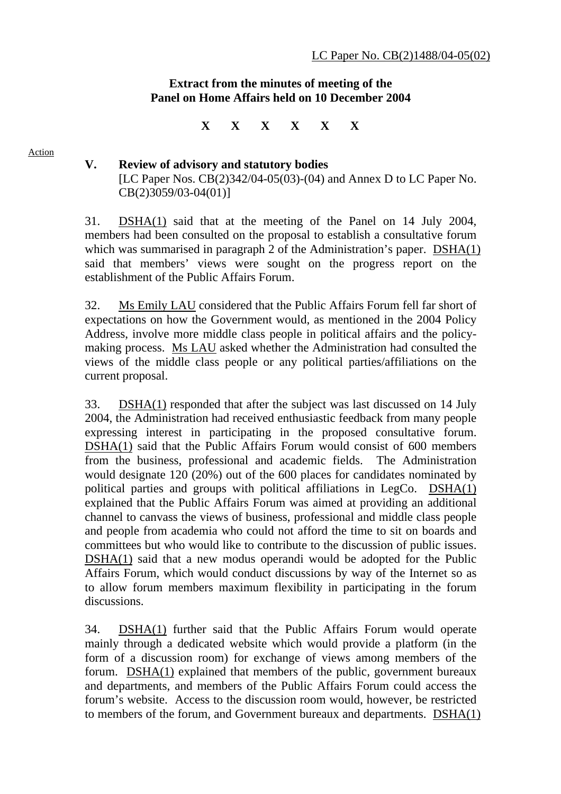## **Extract from the minutes of meeting of the Panel on Home Affairs held on 10 December 2004**

**X X X X X X** 

Action

**V. Review of advisory and statutory bodies**  [LC Paper Nos. CB(2)342/04-05(03)-(04) and Annex D to LC Paper No. CB(2)3059/03-04(01)]

31. DSHA(1) said that at the meeting of the Panel on 14 July 2004, members had been consulted on the proposal to establish a consultative forum which was summarised in paragraph 2 of the Administration's paper. DSHA(1) said that members' views were sought on the progress report on the establishment of the Public Affairs Forum.

32. Ms Emily LAU considered that the Public Affairs Forum fell far short of expectations on how the Government would, as mentioned in the 2004 Policy Address, involve more middle class people in political affairs and the policymaking process. Ms LAU asked whether the Administration had consulted the views of the middle class people or any political parties/affiliations on the current proposal.

33. DSHA(1) responded that after the subject was last discussed on 14 July 2004, the Administration had received enthusiastic feedback from many people expressing interest in participating in the proposed consultative forum. DSHA(1) said that the Public Affairs Forum would consist of 600 members from the business, professional and academic fields. The Administration would designate 120 (20%) out of the 600 places for candidates nominated by political parties and groups with political affiliations in LegCo. DSHA(1) explained that the Public Affairs Forum was aimed at providing an additional channel to canvass the views of business, professional and middle class people and people from academia who could not afford the time to sit on boards and committees but who would like to contribute to the discussion of public issues. DSHA(1) said that a new modus operandi would be adopted for the Public Affairs Forum, which would conduct discussions by way of the Internet so as to allow forum members maximum flexibility in participating in the forum discussions.

34. DSHA(1) further said that the Public Affairs Forum would operate mainly through a dedicated website which would provide a platform (in the form of a discussion room) for exchange of views among members of the forum. DSHA(1) explained that members of the public, government bureaux and departments, and members of the Public Affairs Forum could access the forum's website. Access to the discussion room would, however, be restricted to members of the forum, and Government bureaux and departments. DSHA(1)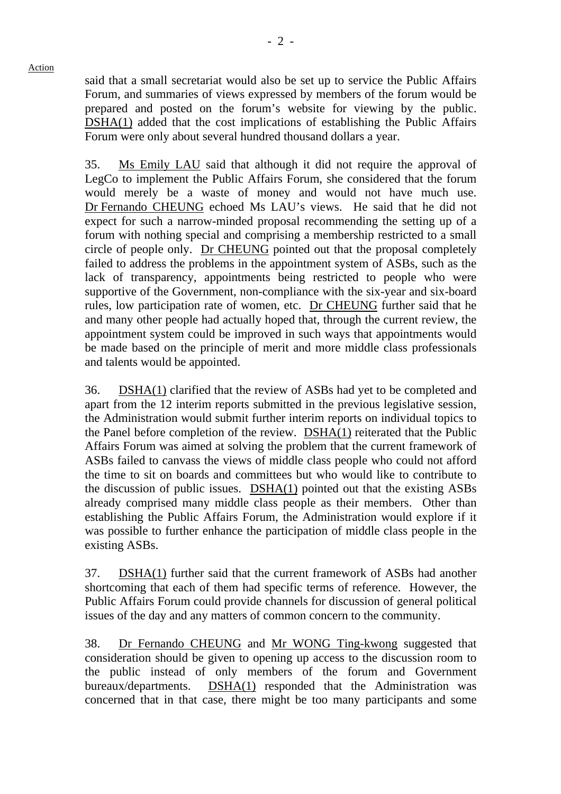Action

said that a small secretariat would also be set up to service the Public Affairs Forum, and summaries of views expressed by members of the forum would be prepared and posted on the forum's website for viewing by the public. DSHA(1) added that the cost implications of establishing the Public Affairs Forum were only about several hundred thousand dollars a year.

35. Ms Emily LAU said that although it did not require the approval of LegCo to implement the Public Affairs Forum, she considered that the forum would merely be a waste of money and would not have much use. Dr Fernando CHEUNG echoed Ms LAU's views. He said that he did not expect for such a narrow-minded proposal recommending the setting up of a forum with nothing special and comprising a membership restricted to a small circle of people only. Dr CHEUNG pointed out that the proposal completely failed to address the problems in the appointment system of ASBs, such as the lack of transparency, appointments being restricted to people who were supportive of the Government, non-compliance with the six-year and six-board rules, low participation rate of women, etc. Dr CHEUNG further said that he and many other people had actually hoped that, through the current review, the appointment system could be improved in such ways that appointments would be made based on the principle of merit and more middle class professionals and talents would be appointed.

36. DSHA(1) clarified that the review of ASBs had yet to be completed and apart from the 12 interim reports submitted in the previous legislative session, the Administration would submit further interim reports on individual topics to the Panel before completion of the review. DSHA(1) reiterated that the Public Affairs Forum was aimed at solving the problem that the current framework of ASBs failed to canvass the views of middle class people who could not afford the time to sit on boards and committees but who would like to contribute to the discussion of public issues. DSHA(1) pointed out that the existing ASBs already comprised many middle class people as their members. Other than establishing the Public Affairs Forum, the Administration would explore if it was possible to further enhance the participation of middle class people in the existing ASBs.

37. DSHA(1) further said that the current framework of ASBs had another shortcoming that each of them had specific terms of reference. However, the Public Affairs Forum could provide channels for discussion of general political issues of the day and any matters of common concern to the community.

38. Dr Fernando CHEUNG and Mr WONG Ting-kwong suggested that consideration should be given to opening up access to the discussion room to the public instead of only members of the forum and Government bureaux/departments. DSHA(1) responded that the Administration was concerned that in that case, there might be too many participants and some